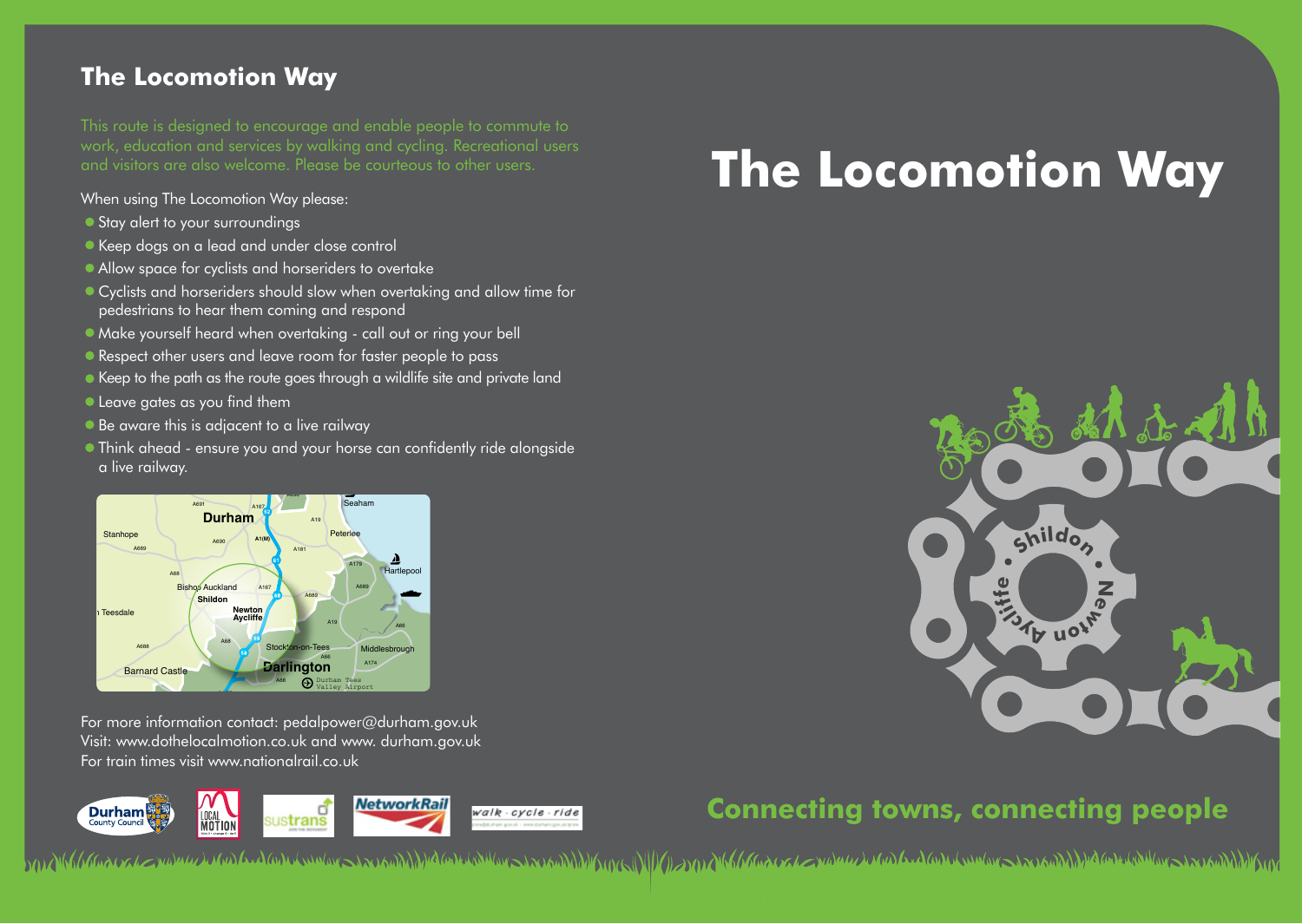## **The Locomotion Way**

This route is designed to encourage and enable people to commute to work, education and services by walking and cycling. Recreational users and visitors are also welcome. Please be courteous to other users.

When using The Locomotion Way please:

- Stay alert to your surroundings
- Keep dogs on a lead and under close control
- Allow space for cyclists and horseriders to overtake
- Cyclists and horseriders should slow when overtaking and allow time for pedestrians to hear them coming and respond
- Make yourself heard when overtaking call out or ring your bell
- Respect other users and leave room for faster people to pass
- Keep to the path as the route goes through a wildlife site and private land
- Leave gates as you find them ates as you find the

county map\_Layout 1 03/09/2014 11:46 Page 1

county map\_Layout 1 03/09/2014 11:46 Page 1

- Be aware this is adjacent to a live railway
- Think ahead ensure you and your horse can confidently ride alongside a live railway. .<br>Think ahead - ensure you and your horse Chester-le-Street



For more information contact: pedalpower@durham.gov.uk A1 A1 Visit: www.dothelocalmotion.co.uk and www. durham.gov.uk For train times visit www.nationalrail.co.uk



# **The Locomotion Way**



# **Connecting towns, connecting people**

MAKhharakan wang dan kanan sang sang dan sang dan sang dan sang dan sang dan sang kanan sang sang sang dan sang dan sang dan sang dan sang dan sang dan sang dan sang dan sang dan sang dan sang dan sang dan sang dan sang da